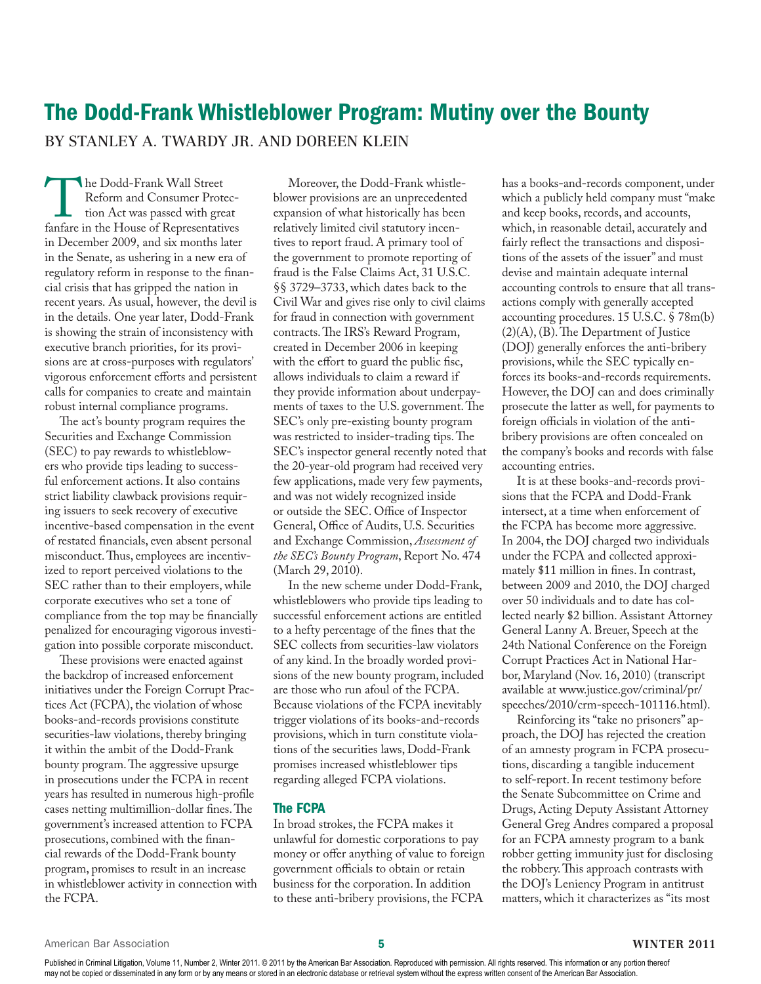# The Dodd-Frank Whistleblower Program: Mutiny over the Bounty By Stanley A. Twardy Jr. and Doreen Klein

The Dodd-Frank Wall Street<br>
Reform and Consumer Protec-<br>
tion Act was passed with great<br>
fanfare in the House of Representatives Reform and Consumer Protection Act was passed with great in December 2009, and six months later in the Senate, as ushering in a new era of regulatory reform in response to the financial crisis that has gripped the nation in recent years. As usual, however, the devil is in the details. One year later, Dodd-Frank is showing the strain of inconsistency with executive branch priorities, for its provisions are at cross-purposes with regulators' vigorous enforcement efforts and persistent calls for companies to create and maintain robust internal compliance programs.

The act's bounty program requires the Securities and Exchange Commission (SEC) to pay rewards to whistleblowers who provide tips leading to successful enforcement actions. It also contains strict liability clawback provisions requiring issuers to seek recovery of executive incentive-based compensation in the event of restated financials, even absent personal misconduct. Thus, employees are incentivized to report perceived violations to the SEC rather than to their employers, while corporate executives who set a tone of compliance from the top may be financially penalized for encouraging vigorous investigation into possible corporate misconduct.

These provisions were enacted against the backdrop of increased enforcement initiatives under the Foreign Corrupt Practices Act (FCPA), the violation of whose books-and-records provisions constitute securities-law violations, thereby bringing it within the ambit of the Dodd-Frank bounty program. The aggressive upsurge in prosecutions under the FCPA in recent years has resulted in numerous high-profile cases netting multimillion-dollar fines. The government's increased attention to FCPA prosecutions, combined with the financial rewards of the Dodd-Frank bounty program, promises to result in an increase in whistleblower activity in connection with the FCPA.

Moreover, the Dodd-Frank whistleblower provisions are an unprecedented expansion of what historically has been relatively limited civil statutory incentives to report fraud. A primary tool of the government to promote reporting of fraud is the False Claims Act, 31 U.S.C. §§ 3729–3733, which dates back to the Civil War and gives rise only to civil claims for fraud in connection with government contracts. The IRS's Reward Program, created in December 2006 in keeping with the effort to guard the public fisc, allows individuals to claim a reward if they provide information about underpayments of taxes to the U.S. government. The SEC's only pre-existing bounty program was restricted to insider-trading tips. The SEC's inspector general recently noted that the 20-year-old program had received very few applications, made very few payments, and was not widely recognized inside or outside the SEC. Office of Inspector General, Office of Audits, U.S. Securities and Exchange Commission, *Assessment of the SEC's Bounty Program*, Report No. 474 (March 29, 2010).

In the new scheme under Dodd-Frank, whistleblowers who provide tips leading to successful enforcement actions are entitled to a hefty percentage of the fines that the SEC collects from securities-law violators of any kind. In the broadly worded provisions of the new bounty program, included are those who run afoul of the FCPA. Because violations of the FCPA inevitably trigger violations of its books-and-records provisions, which in turn constitute violations of the securities laws, Dodd-Frank promises increased whistleblower tips regarding alleged FCPA violations.

#### The FCPA

In broad strokes, the FCPA makes it unlawful for domestic corporations to pay money or offer anything of value to foreign government officials to obtain or retain business for the corporation. In addition to these anti-bribery provisions, the FCPA

has a books-and-records component, under which a publicly held company must "make and keep books, records, and accounts, which, in reasonable detail, accurately and fairly reflect the transactions and dispositions of the assets of the issuer" and must devise and maintain adequate internal accounting controls to ensure that all transactions comply with generally accepted accounting procedures. 15 U.S.C. § 78m(b) (2)(A), (B). The Department of Justice (DOJ) generally enforces the anti-bribery provisions, while the SEC typically enforces its books-and-records requirements. However, the DOJ can and does criminally prosecute the latter as well, for payments to foreign officials in violation of the antibribery provisions are often concealed on the company's books and records with false accounting entries.

It is at these books-and-records provisions that the FCPA and Dodd-Frank intersect, at a time when enforcement of the FCPA has become more aggressive. In 2004, the DOJ charged two individuals under the FCPA and collected approximately \$11 million in fines. In contrast, between 2009 and 2010, the DOJ charged over 50 individuals and to date has collected nearly \$2 billion. Assistant Attorney General Lanny A. Breuer, Speech at the 24th National Conference on the Foreign Corrupt Practices Act in National Harbor, Maryland (Nov. 16, 2010) (transcript available at www.justice.gov/criminal/pr/ speeches/2010/crm-speech-101116.html).

Reinforcing its "take no prisoners" approach, the DOJ has rejected the creation of an amnesty program in FCPA prosecutions, discarding a tangible inducement to self-report. In recent testimony before the Senate Subcommittee on Crime and Drugs, Acting Deputy Assistant Attorney General Greg Andres compared a proposal for an FCPA amnesty program to a bank robber getting immunity just for disclosing the robbery. This approach contrasts with the DOJ's Leniency Program in antitrust matters, which it characterizes as "its most

Published in Criminal Litigation, Volume 11, Number 2, Winter 2011. @ 2011 by the American Bar Association. Reproduced with permission. All rights reserved. This information or any portion thereof may not be copied or disseminated in any form or by any means or stored in an electronic database or retrieval system without the express written consent of the American Bar Association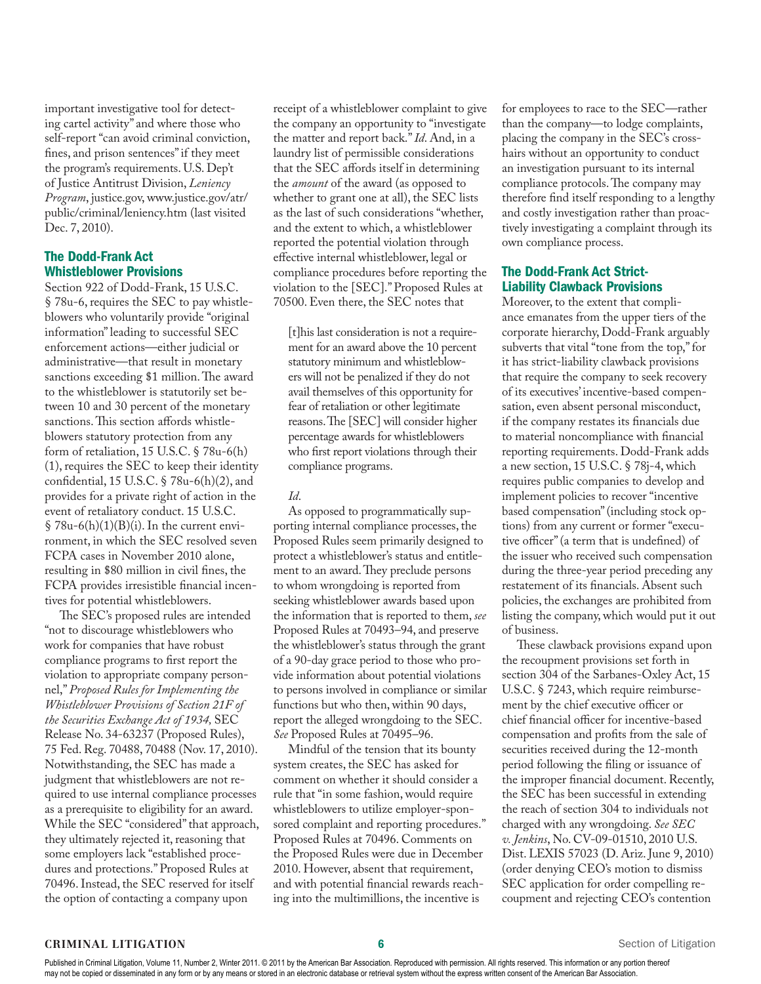important investigative tool for detecting cartel activity" and where those who self-report "can avoid criminal conviction, fines, and prison sentences" if they meet the program's requirements. U.S. Dep't of Justice Antitrust Division, *Leniency Program*, justice.gov, www.justice.gov/atr/ public/criminal/leniency.htm (last visited Dec. 7, 2010).

#### The Dodd-Frank Act Whistleblower Provisions

Section 922 of Dodd-Frank, 15 U.S.C. § 78u-6, requires the SEC to pay whistleblowers who voluntarily provide "original information" leading to successful SEC enforcement actions—either judicial or administrative—that result in monetary sanctions exceeding \$1 million. The award to the whistleblower is statutorily set between 10 and 30 percent of the monetary sanctions. This section affords whistleblowers statutory protection from any form of retaliation, 15 U.S.C. § 78u-6(h) (1), requires the SEC to keep their identity confidential, 15 U.S.C. § 78u-6(h)(2), and provides for a private right of action in the event of retaliatory conduct. 15 U.S.C.  $$78u-6(h)(1)(B)(i)$ . In the current environment, in which the SEC resolved seven FCPA cases in November 2010 alone, resulting in \$80 million in civil fines, the FCPA provides irresistible financial incentives for potential whistleblowers.

The SEC's proposed rules are intended "not to discourage whistleblowers who work for companies that have robust compliance programs to first report the violation to appropriate company personnel," *Proposed Rules for Implementing the Whistleblower Provisions of Section 21F of the Securities Exchange Act of 1934,* SEC Release No. 34-63237 (Proposed Rules), 75 Fed. Reg. 70488, 70488 (Nov. 17, 2010). Notwithstanding, the SEC has made a judgment that whistleblowers are not required to use internal compliance processes as a prerequisite to eligibility for an award. While the SEC "considered" that approach, they ultimately rejected it, reasoning that some employers lack "established procedures and protections." Proposed Rules at 70496. Instead, the SEC reserved for itself the option of contacting a company upon

receipt of a whistleblower complaint to give the company an opportunity to "investigate the matter and report back." *Id*. And, in a laundry list of permissible considerations that the SEC affords itself in determining the *amount* of the award (as opposed to whether to grant one at all), the SEC lists as the last of such considerations "whether, and the extent to which, a whistleblower reported the potential violation through effective internal whistleblower, legal or compliance procedures before reporting the violation to the [SEC]." Proposed Rules at 70500. Even there, the SEC notes that

[t]his last consideration is not a requirement for an award above the 10 percent statutory minimum and whistleblowers will not be penalized if they do not avail themselves of this opportunity for fear of retaliation or other legitimate reasons. The [SEC] will consider higher percentage awards for whistleblowers who first report violations through their compliance programs.

## *Id*.

As opposed to programmatically supporting internal compliance processes, the Proposed Rules seem primarily designed to protect a whistleblower's status and entitlement to an award. They preclude persons to whom wrongdoing is reported from seeking whistleblower awards based upon the information that is reported to them, *see* Proposed Rules at 70493–94, and preserve the whistleblower's status through the grant of a 90-day grace period to those who provide information about potential violations to persons involved in compliance or similar functions but who then, within 90 days, report the alleged wrongdoing to the SEC. *See* Proposed Rules at 70495–96.

Mindful of the tension that its bounty system creates, the SEC has asked for comment on whether it should consider a rule that "in some fashion, would require whistleblowers to utilize employer-sponsored complaint and reporting procedures." Proposed Rules at 70496. Comments on the Proposed Rules were due in December 2010. However, absent that requirement, and with potential financial rewards reaching into the multimillions, the incentive is

for employees to race to the SEC—rather than the company—to lodge complaints, placing the company in the SEC's crosshairs without an opportunity to conduct an investigation pursuant to its internal compliance protocols. The company may therefore find itself responding to a lengthy and costly investigation rather than proactively investigating a complaint through its own compliance process.

### The Dodd-Frank Act Strict-Liability Clawback Provisions

Moreover, to the extent that compliance emanates from the upper tiers of the corporate hierarchy, Dodd-Frank arguably subverts that vital "tone from the top," for it has strict-liability clawback provisions that require the company to seek recovery of its executives' incentive-based compensation, even absent personal misconduct, if the company restates its financials due to material noncompliance with financial reporting requirements. Dodd-Frank adds a new section, 15 U.S.C. § 78j-4, which requires public companies to develop and implement policies to recover "incentive based compensation" (including stock options) from any current or former "executive officer" (a term that is undefined) of the issuer who received such compensation during the three-year period preceding any restatement of its financials. Absent such policies, the exchanges are prohibited from listing the company, which would put it out of business.

These clawback provisions expand upon the recoupment provisions set forth in section 304 of the Sarbanes-Oxley Act, 15 U.S.C. § 7243, which require reimbursement by the chief executive officer or chief financial officer for incentive-based compensation and profits from the sale of securities received during the 12-month period following the filing or issuance of the improper financial document. Recently, the SEC has been successful in extending the reach of section 304 to individuals not charged with any wrongdoing. *See SEC v. Jenkins*, No. CV-09-01510, 2010 U.S. Dist. LEXIS 57023 (D. Ariz. June 9, 2010) (order denying CEO's motion to dismiss SEC application for order compelling recoupment and rejecting CEO's contention